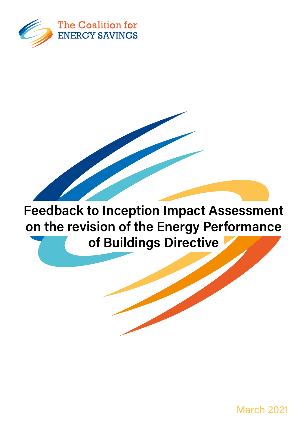

Feedback to Inception Impact Assessment on the revision of the Energy Performance of Buildings Directive

March 2021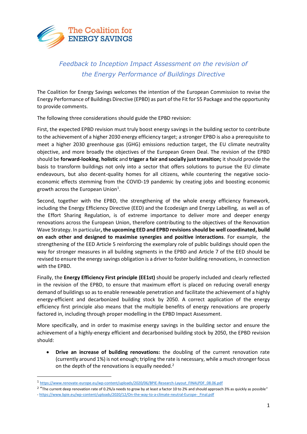

## *Feedback to Inception Impact Assessment on the revision of the Energy Performance of Buildings Directive*

The Coalition for Energy Savings welcomes the intention of the European Commission to revise the Energy Performance of Buildings Directive (EPBD) as part of the Fit for 55 Package and the opportunity to provide comments.

The following three considerations should guide the EPBD revision:

First, the expected EPBD revision must truly boost energy savings in the building sector to contribute to the achievement of a higher 2030 energy efficiency target; a stronger EPBD is also a prerequisite to meet a higher 2030 greenhouse gas (GHG) emissions reduction target, the EU climate neutrality objective, and more broadly the objectives of the European Green Deal. The revision of the EPBD should be **forward-looking**, **holistic** and **trigger a fair and socially just transition;** itshould provide the basis to transform buildings not only into a sector that offers solutions to pursue the EU climate endeavours, but also decent-quality homes for all citizens, while countering the negative socioeconomic effects stemming from the COVID-19 pandemic by creating jobs and boosting economic growth across the European Union<sup>1</sup>.

Second, together with the EPBD, the strengthening of the whole energy efficiency framework, including the Energy Efficiency Directive (EED) and the Ecodesign and Energy Labelling, as well as of the Effort Sharing Regulation, is of extreme importance to deliver more and deeper energy renovations across the European Union, therefore contributing to the objectives of the Renovation Wave Strategy. In particular**, the upcoming EED and EPBD revisions should be well coordinated, build on each other and designed to maximise synergies and positive interactions**. For example, the strengthening of the EED Article 5 reinforcing the exemplary role of public buildings should open the way for stronger measures in all building segments in the EPBD and Article 7 of the EED should be revised to ensure the energy savings obligation is a driver to foster building renovations, in connection with the EPBD.

Finally, the **Energy Efficiency First principle (EE1st)** should be properly included and clearly reflected in the revision of the EPBD, to ensure that maximum effort is placed on reducing overall energy demand of buildings so as to enable renewable penetration and facilitate the achievement of a highly energy-efficient and decarbonized building stock by 2050. A correct application of the energy efficiency first principle also means that the multiple benefits of energy renovations are properly factored in, including through proper modelling in the EPBD Impact Assessment.

More specifically, and in order to maximise energy savings in the building sector and ensure the achievement of a highly-energy efficient and decarbonised building stock by 2050, the EPBD revision should:

• **Drive an increase of building renovations:** the doubling of the current renovation rate (currently around 1%) is not enough; tripling the rate is necessary, while a much stronger focus on the depth of the renovations is equally needed.<sup>2</sup>

<sup>1</sup> [https://www.renovate-europe.eu/wp-content/uploads/2020/06/BPIE-Research-Layout\\_FINALPDF\\_08.06.pdf](https://www.renovate-europe.eu/wp-content/uploads/2020/06/BPIE-Research-Layout_FINALPDF_08.06.pdf)

<sup>&</sup>lt;sup>2</sup> "The current deep renovation rate of 0.2%/a needs to grow by at least a factor 10 to 2% and should approach 3% as quickly as possible" - https://www.bpie.eu/wp-content/uploads/2020/12/On-the-way-to-a-climate-neutral-Europe- Final.pdf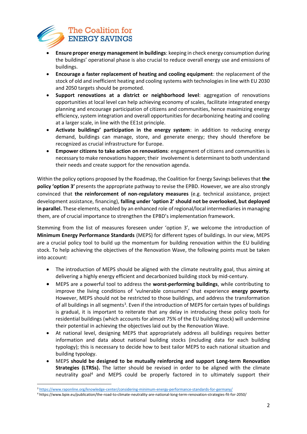

- **Ensure proper energy management in buildings**: keeping in check energy consumption during the buildings' operational phase is also crucial to reduce overall energy use and emissions of buildings.
- **Encourage a faster replacement of heating and cooling equipment**: the replacement of the stock of old and inefficient heating and cooling systems with technologies in line with EU 2030 and 2050 targets should be promoted.
- **Support renovations at a district or neighborhood level**: aggregation of renovations opportunities at local level can help achieving economy of scales, facilitate integrated energy planning and encourage participation of citizens and communities, hence maximizing energy efficiency, system integration and overall opportunities for decarbonizing heating and cooling at a larger scale, in line with the EE1st principle.
- **Activate buildings' participation in the energy system**: in addition to reducing energy demand, buildings can manage, store, and generate energy; they should therefore be recognized as crucial infrastructure for Europe.
- **Empower citizens to take action on renovations**: engagement of citizens and communities is necessary to make renovations happen; their involvement is determinant to both understand their needs and create support for the renovation agenda.

Within the policy options proposed by the Roadmap, the Coalition for Energy Savings believes that **the policy 'option 3'** presents the appropriate pathway to revise the EPBD. However, we are also strongly convinced that **the reinforcement of non-regulatory measures** (e.g. technical assistance, project development assistance, financing), **falling under 'option 2' should not be overlooked, but deployed in parallel.** These elements, enabled by an enhanced role ofregional/local intermediaries in managing them, are of crucial importance to strengthen the EPBD's implementation framework.

Stemming from the list of measures foreseen under 'option 3', we welcome the introduction of **Minimum Energy Performance Standards** (MEPS) for different types of buildings. In our view, MEPS are a crucial policy tool to build up the momentum for building renovation within the EU building stock. To help achieving the objectives of the Renovation Wave, the following points must be taken into account:

- The introduction of MEPS should be aligned with the climate neutrality goal, thus aiming at delivering a highly energy efficient and decarbonized building stock by mid-century.
- MEPS are a powerful tool to address the **worst-performing buildings**, while contributing to improve the living conditions of 'vulnerable consumers' that experience **energy poverty**. However, MEPS should not be restricted to those buildings, and address the transformation of all buildings in all segments<sup>3</sup>. Even if the introduction of MEPS for certain types of buildings is gradual, it is important to reiterate that any delay in introducing these policy tools for residential buildings (which accounts for almost 75% of the EU building stock) will undermine their potential in achieving the objectives laid out by the Renovation Wave.
- At national level, designing MEPS that appropriately address all buildings requires better information and data about national building stocks (including data for each building typology); this is necessary to decide how to best tailor MEPS to each national situation and building typology.
- MEPS **should be designed to be mutually reinforcing and support Long-term Renovation Strategies (LTRSs).** The latter should be revised in order to be aligned with the climate neutrality goal<sup>4</sup> and MEPS could be properly factored in to ultimately support their

<sup>3</sup> <https://www.raponline.org/knowledge-center/considering-minimum-energy-performance-standards-for-germany/>

<sup>4</sup> https://www.bpie.eu/publication/the-road-to-climate-neutrality-are-national-long-term-renovation-strategies-fit-for-2050/